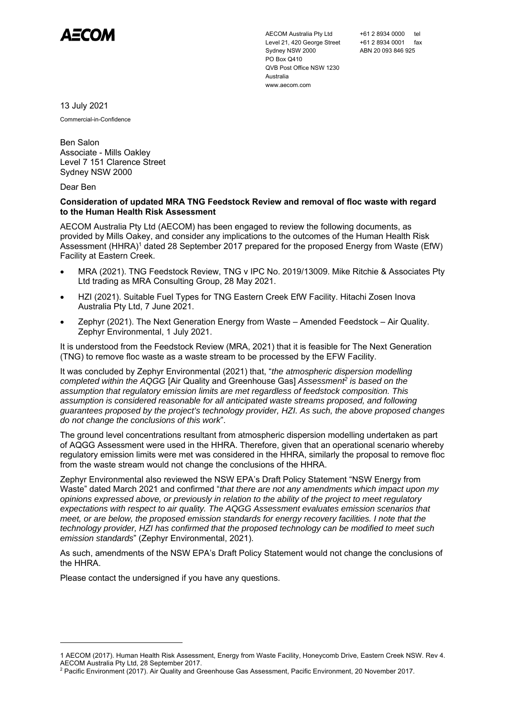

AECOM Australia Pty Ltd Level 21, 420 George Street Sydney NSW 2000 PO Box Q410 QVB Post Office NSW 1230 Australia www.aecom.com

+61 2 8934 0000 tel +61 2 8934 0001 fax ABN 20 093 846 925

13 July 2021

Commercial-in-Confidence

Ben Salon Associate - Mills Oakley Level 7 151 Clarence Street Sydney NSW 2000

## Dear Ben

## **Consideration of updated MRA TNG Feedstock Review and removal of floc waste with regard to the Human Health Risk Assessment**

AECOM Australia Pty Ltd (AECOM) has been engaged to review the following documents, as provided by Mills Oakey, and consider any implications to the outcomes of the Human Health Risk Assessment (HHRA)<sup>1</sup> dated 28 September 2017 prepared for the proposed Energy from Waste (EfW) Facility at Eastern Creek.

- MRA (2021). TNG Feedstock Review, TNG v IPC No. 2019/13009. Mike Ritchie & Associates Pty Ltd trading as MRA Consulting Group, 28 May 2021.
- HZI (2021). Suitable Fuel Types for TNG Eastern Creek EfW Facility. Hitachi Zosen Inova Australia Pty Ltd, 7 June 2021.
- Zephyr (2021). The Next Generation Energy from Waste Amended Feedstock Air Quality. Zephyr Environmental, 1 July 2021.

It is understood from the Feedstock Review (MRA, 2021) that it is feasible for The Next Generation (TNG) to remove floc waste as a waste stream to be processed by the EFW Facility.

It was concluded by Zephyr Environmental (2021) that, "*the atmospheric dispersion modelling completed within the AQGG* [Air Quality and Greenhouse Gas] Assessment<sup>2</sup> is based on the *assumption that regulatory emission limits are met regardless of feedstock composition. This assumption is considered reasonable for all anticipated waste streams proposed, and following guarantees proposed by the project's technology provider, HZI. As such, the above proposed changes do not change the conclusions of this work*".

The ground level concentrations resultant from atmospheric dispersion modelling undertaken as part of AQGG Assessment were used in the HHRA. Therefore, given that an operational scenario whereby regulatory emission limits were met was considered in the HHRA, similarly the proposal to remove floc from the waste stream would not change the conclusions of the HHRA.

Zephyr Environmental also reviewed the NSW EPA's Draft Policy Statement "NSW Energy from Waste" dated March 2021 and confirmed "*that there are not any amendments which impact upon my opinions expressed above, or previously in relation to the ability of the project to meet regulatory expectations with respect to air quality. The AQGG Assessment evaluates emission scenarios that meet, or are below, the proposed emission standards for energy recovery facilities. I note that the technology provider, HZI has confirmed that the proposed technology can be modified to meet such emission standards*" (Zephyr Environmental, 2021).

As such, amendments of the NSW EPA's Draft Policy Statement would not change the conclusions of the HHRA.

Please contact the undersigned if you have any questions.

<sup>1</sup> AECOM (2017). Human Health Risk Assessment, Energy from Waste Facility, Honeycomb Drive, Eastern Creek NSW. Rev 4.

AECOM Australia Pty Ltd, 28 September 2017.<br><sup>2</sup> Pacific Environment (2017). Air Quality and Greenhouse Gas Assessment, Pacific Environment, 20 November 2017.